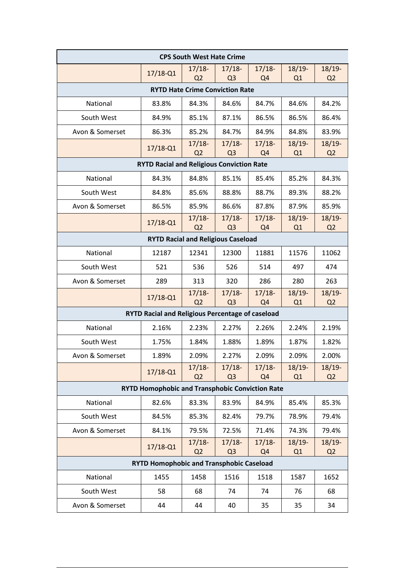| <b>CPS South West Hate Crime</b>                        |              |                            |                            |                            |                             |                            |  |  |  |  |
|---------------------------------------------------------|--------------|----------------------------|----------------------------|----------------------------|-----------------------------|----------------------------|--|--|--|--|
|                                                         | $17/18 - Q1$ | $17/18-$<br>Q <sub>2</sub> | $17/18-$<br>Q <sub>3</sub> | $17/18-$<br>Q <sub>4</sub> | $18/19 -$<br>Q1             | $18/19-$<br>Q <sub>2</sub> |  |  |  |  |
| <b>RYTD Hate Crime Conviction Rate</b>                  |              |                            |                            |                            |                             |                            |  |  |  |  |
| National                                                | 83.8%        | 84.3%                      | 84.6%                      | 84.7%                      | 84.6%                       | 84.2%                      |  |  |  |  |
| South West                                              | 84.9%        | 85.1%                      | 87.1%                      | 86.5%                      | 86.5%                       | 86.4%                      |  |  |  |  |
| Avon & Somerset                                         | 86.3%        | 85.2%                      | 84.7%                      | 84.9%                      | 84.8%                       | 83.9%                      |  |  |  |  |
|                                                         | $17/18 - Q1$ | $17/18-$<br>Q <sub>2</sub> | $17/18-$<br>Q <sub>3</sub> | $17/18-$<br>Q <sub>4</sub> | $18/19 -$<br>Q1             | 18/19-<br>Q <sub>2</sub>   |  |  |  |  |
| <b>RYTD Racial and Religious Conviction Rate</b>        |              |                            |                            |                            |                             |                            |  |  |  |  |
| National                                                | 84.3%        | 84.8%                      | 85.1%                      | 85.4%                      | 85.2%                       | 84.3%                      |  |  |  |  |
| South West                                              | 84.8%        | 85.6%                      | 88.8%                      | 88.7%                      | 89.3%                       | 88.2%                      |  |  |  |  |
| Avon & Somerset                                         | 86.5%        | 85.9%                      | 86.6%                      | 87.8%                      | 87.9%                       | 85.9%                      |  |  |  |  |
|                                                         | $17/18 - Q1$ | $17/18-$<br>Q <sub>2</sub> | $17/18-$<br>Q <sub>3</sub> | $17/18-$<br>Q <sub>4</sub> | $18/19 -$<br>Q <sub>1</sub> | $18/19-$<br>Q <sub>2</sub> |  |  |  |  |
| <b>RYTD Racial and Religious Caseload</b>               |              |                            |                            |                            |                             |                            |  |  |  |  |
| National                                                | 12187        | 12341                      | 12300                      | 11881                      | 11576                       | 11062                      |  |  |  |  |
| South West                                              | 521          | 536                        | 526                        | 514                        | 497                         | 474                        |  |  |  |  |
| Avon & Somerset                                         | 289          | 313                        | 320                        | 286                        | 280                         | 263                        |  |  |  |  |
|                                                         | $17/18 - Q1$ | $17/18-$<br>Q <sub>2</sub> | $17/18-$<br>Q <sub>3</sub> | $17/18-$<br>Q <sub>4</sub> | $18/19-$<br>Q1              | $18/19-$<br>Q <sub>2</sub> |  |  |  |  |
| <b>RYTD Racial and Religious Percentage of caseload</b> |              |                            |                            |                            |                             |                            |  |  |  |  |
| National                                                | 2.16%        | 2.23%                      | 2.27%                      | 2.26%                      | 2.24%                       | 2.19%                      |  |  |  |  |
| South West                                              | 1.75%        | 1.84%                      | 1.88%                      | 1.89%                      | 1.87%                       | 1.82%                      |  |  |  |  |
| Avon & Somerset                                         | 1.89%        | 2.09%                      | 2.27%                      | 2.09%                      | 2.09%                       | 2.00%                      |  |  |  |  |
|                                                         | $17/18 - Q1$ | $17/18-$<br>Q <sub>2</sub> | $17/18-$<br>Q <sub>3</sub> | $17/18-$<br>Q <sub>4</sub> | 18/19-<br>Q1                | 18/19-<br>Q <sub>2</sub>   |  |  |  |  |
| RYTD Homophobic and Transphobic Conviction Rate         |              |                            |                            |                            |                             |                            |  |  |  |  |
| National                                                | 82.6%        | 83.3%                      | 83.9%                      | 84.9%                      | 85.4%                       | 85.3%                      |  |  |  |  |
| South West                                              | 84.5%        | 85.3%                      | 82.4%                      | 79.7%                      | 78.9%                       | 79.4%                      |  |  |  |  |
| Avon & Somerset                                         | 84.1%        | 79.5%                      | 72.5%                      | 71.4%                      | 74.3%                       | 79.4%                      |  |  |  |  |
|                                                         | $17/18 - Q1$ | $17/18-$<br>Q <sub>2</sub> | $17/18-$<br>Q <sub>3</sub> | $17/18-$<br>Q <sub>4</sub> | $18/19 -$<br>Q1             | $18/19-$<br>Q <sub>2</sub> |  |  |  |  |
| <b>RYTD Homophobic and Transphobic Caseload</b>         |              |                            |                            |                            |                             |                            |  |  |  |  |
| National                                                | 1455         | 1458                       | 1516                       | 1518                       | 1587                        | 1652                       |  |  |  |  |
| South West                                              | 58           | 68                         | 74                         | 74                         | 76                          | 68                         |  |  |  |  |
| Avon & Somerset                                         | 44           | 44                         | 40                         | 35                         | 35                          | 34                         |  |  |  |  |